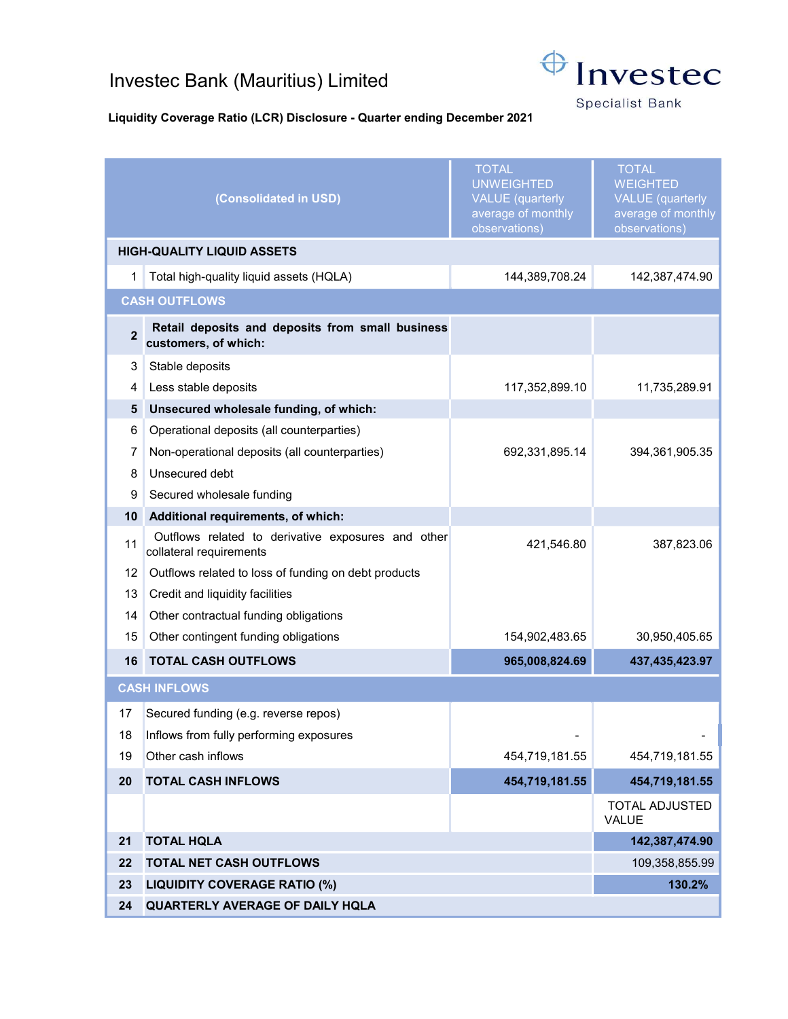## Investec Bank (Mauritius) Limited



**Specialist Bank** 

## Liquidity Coverage Ratio (LCR) Disclosure - Quarter ending December 2021

|                                   | (Consolidated in USD)                                                         | <b>TOTAL</b><br><b>UNWEIGHTED</b><br><b>VALUE</b> (quarterly<br>average of monthly<br>observations) | <b>TOTAL</b><br><b>WEIGHTED</b><br><b>VALUE</b> (quarterly<br>average of monthly<br>observations) |
|-----------------------------------|-------------------------------------------------------------------------------|-----------------------------------------------------------------------------------------------------|---------------------------------------------------------------------------------------------------|
| <b>HIGH-QUALITY LIQUID ASSETS</b> |                                                                               |                                                                                                     |                                                                                                   |
| 1                                 | Total high-quality liquid assets (HQLA)                                       | 144,389,708.24                                                                                      | 142,387,474.90                                                                                    |
| <b>CASH OUTFLOWS</b>              |                                                                               |                                                                                                     |                                                                                                   |
| $\overline{2}$                    | Retail deposits and deposits from small business<br>customers, of which:      |                                                                                                     |                                                                                                   |
| 3                                 | Stable deposits                                                               |                                                                                                     |                                                                                                   |
| 4                                 | Less stable deposits                                                          | 117,352,899.10                                                                                      | 11,735,289.91                                                                                     |
| 5                                 | Unsecured wholesale funding, of which:                                        |                                                                                                     |                                                                                                   |
| 6                                 | Operational deposits (all counterparties)                                     |                                                                                                     |                                                                                                   |
| 7                                 | Non-operational deposits (all counterparties)                                 | 692,331,895.14                                                                                      | 394,361,905.35                                                                                    |
| 8                                 | Unsecured debt                                                                |                                                                                                     |                                                                                                   |
| 9                                 | Secured wholesale funding                                                     |                                                                                                     |                                                                                                   |
| 10                                | Additional requirements, of which:                                            |                                                                                                     |                                                                                                   |
| 11                                | Outflows related to derivative exposures and other<br>collateral requirements | 421,546.80                                                                                          | 387,823.06                                                                                        |
| 12                                | Outflows related to loss of funding on debt products                          |                                                                                                     |                                                                                                   |
| 13                                | Credit and liquidity facilities                                               |                                                                                                     |                                                                                                   |
| 14                                | Other contractual funding obligations                                         |                                                                                                     |                                                                                                   |
| 15                                | Other contingent funding obligations                                          | 154,902,483.65                                                                                      | 30,950,405.65                                                                                     |
| 16                                | <b>TOTAL CASH OUTFLOWS</b>                                                    | 965,008,824.69                                                                                      | 437,435,423.97                                                                                    |
| <b>CASH INFLOWS</b>               |                                                                               |                                                                                                     |                                                                                                   |
| 17                                | Secured funding (e.g. reverse repos)                                          |                                                                                                     |                                                                                                   |
| 18                                | Inflows from fully performing exposures                                       |                                                                                                     |                                                                                                   |
| 19                                | Other cash inflows                                                            | 454,719,181.55                                                                                      | 454,719,181.55                                                                                    |
| 20                                | <b>TOTAL CASH INFLOWS</b>                                                     | 454,719,181.55                                                                                      | 454,719,181.55                                                                                    |
|                                   |                                                                               |                                                                                                     | TOTAL ADJUSTED<br>VALUE                                                                           |
| 21                                | <b>TOTAL HQLA</b>                                                             |                                                                                                     | 142,387,474.90                                                                                    |
| 22                                | <b>TOTAL NET CASH OUTFLOWS</b>                                                |                                                                                                     | 109,358,855.99                                                                                    |
| 23                                | <b>LIQUIDITY COVERAGE RATIO (%)</b>                                           |                                                                                                     | 130.2%                                                                                            |
| 24                                | QUARTERLY AVERAGE OF DAILY HQLA                                               |                                                                                                     |                                                                                                   |